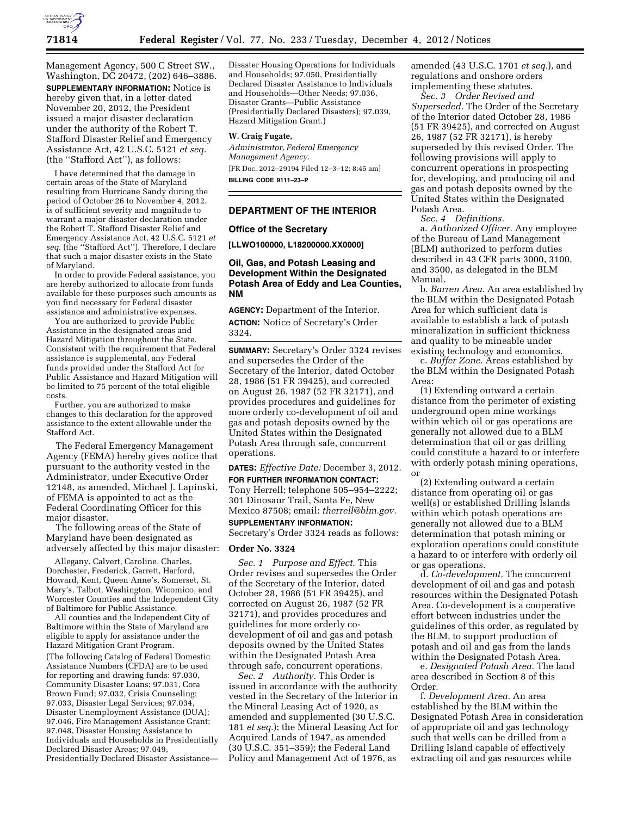

Management Agency, 500 C Street SW., Washington, DC 20472, (202) 646–3886. **SUPPLEMENTARY INFORMATION:** Notice is hereby given that, in a letter dated November 20, 2012, the President issued a major disaster declaration under the authority of the Robert T. Stafford Disaster Relief and Emergency Assistance Act, 42 U.S.C. 5121 *et seq.*  (the ''Stafford Act''), as follows:

I have determined that the damage in certain areas of the State of Maryland resulting from Hurricane Sandy during the period of October 26 to November 4, 2012, is of sufficient severity and magnitude to warrant a major disaster declaration under the Robert T. Stafford Disaster Relief and Emergency Assistance Act, 42 U.S.C. 5121 *et seq.* (the ''Stafford Act''). Therefore, I declare that such a major disaster exists in the State of Maryland.

In order to provide Federal assistance, you are hereby authorized to allocate from funds available for these purposes such amounts as you find necessary for Federal disaster assistance and administrative expenses.

You are authorized to provide Public Assistance in the designated areas and Hazard Mitigation throughout the State. Consistent with the requirement that Federal assistance is supplemental, any Federal funds provided under the Stafford Act for Public Assistance and Hazard Mitigation will be limited to 75 percent of the total eligible costs.

Further, you are authorized to make changes to this declaration for the approved assistance to the extent allowable under the Stafford Act.

The Federal Emergency Management Agency (FEMA) hereby gives notice that pursuant to the authority vested in the Administrator, under Executive Order 12148, as amended, Michael J. Lapinski, of FEMA is appointed to act as the Federal Coordinating Officer for this major disaster.

The following areas of the State of Maryland have been designated as adversely affected by this major disaster:

Allegany, Calvert, Caroline, Charles, Dorchester, Frederick, Garrett, Harford, Howard, Kent, Queen Anne's, Somerset, St. Mary's, Talbot, Washington, Wicomico, and Worcester Counties and the Independent City of Baltimore for Public Assistance.

All counties and the Independent City of Baltimore within the State of Maryland are eligible to apply for assistance under the Hazard Mitigation Grant Program. (The following Catalog of Federal Domestic Assistance Numbers (CFDA) are to be used for reporting and drawing funds: 97.030, Community Disaster Loans; 97.031, Cora Brown Fund; 97.032, Crisis Counseling; 97.033, Disaster Legal Services; 97.034, Disaster Unemployment Assistance (DUA); 97.046, Fire Management Assistance Grant; 97.048, Disaster Housing Assistance to Individuals and Households in Presidentially Declared Disaster Areas; 97.049, Presidentially Declared Disaster Assistance—

Disaster Housing Operations for Individuals and Households; 97.050, Presidentially Declared Disaster Assistance to Individuals and Households—Other Needs; 97.036, Disaster Grants—Public Assistance (Presidentially Declared Disasters); 97.039, Hazard Mitigation Grant.)

### **W. Craig Fugate,**

*Administrator, Federal Emergency Management Agency.*  [FR Doc. 2012–29194 Filed 12–3–12; 8:45 am] **BILLING CODE 9111–23–P** 

### **DEPARTMENT OF THE INTERIOR**

### **Office of the Secretary**

**[LLWO100000, L18200000.XX0000]** 

# **Oil, Gas, and Potash Leasing and Development Within the Designated Potash Area of Eddy and Lea Counties, NM**

**AGENCY:** Department of the Interior. **ACTION:** Notice of Secretary's Order 3324.

**SUMMARY:** Secretary's Order 3324 revises and supersedes the Order of the Secretary of the Interior, dated October 28, 1986 (51 FR 39425), and corrected on August 26, 1987 (52 FR 32171), and provides procedures and guidelines for more orderly co-development of oil and gas and potash deposits owned by the United States within the Designated Potash Area through safe, concurrent operations.

**DATES:** *Effective Date:* December 3, 2012.

**FOR FURTHER INFORMATION CONTACT:**  Tony Herrell; telephone 505–954–2222; 301 Dinosaur Trail, Santa Fe, New Mexico 87508; email: *[therrell@blm.gov.](mailto:therrell@blm.gov)* 

# **SUPPLEMENTARY INFORMATION:**

Secretary's Order 3324 reads as follows:

### **Order No. 3324**

*Sec. 1 Purpose and Effect*. This Order revises and supersedes the Order of the Secretary of the Interior, dated October 28, 1986 (51 FR 39425), and corrected on August 26, 1987 (52 FR 32171), and provides procedures and guidelines for more orderly codevelopment of oil and gas and potash deposits owned by the United States within the Designated Potash Area through safe, concurrent operations.

*Sec. 2 Authority.* This Order is issued in accordance with the authority vested in the Secretary of the Interior in the Mineral Leasing Act of 1920, as amended and supplemented (30 U.S.C. 181 *et seq.*); the Mineral Leasing Act for Acquired Lands of 1947, as amended (30 U.S.C. 351–359); the Federal Land Policy and Management Act of 1976, as

amended (43 U.S.C. 1701 *et seq.*), and regulations and onshore orders implementing these statutes.

*Sec. 3 Order Revised and Superseded*. The Order of the Secretary of the Interior dated October 28, 1986 (51 FR 39425), and corrected on August 26, 1987 (52 FR 32171), is hereby superseded by this revised Order. The following provisions will apply to concurrent operations in prospecting for, developing, and producing oil and gas and potash deposits owned by the United States within the Designated Potash Area.

*Sec. 4 Definitions.* 

a. *Authorized Officer.* Any employee of the Bureau of Land Management (BLM) authorized to perform duties described in 43 CFR parts 3000, 3100, and 3500, as delegated in the BLM Manual.

b. *Barren Area.* An area established by the BLM within the Designated Potash Area for which sufficient data is available to establish a lack of potash mineralization in sufficient thickness and quality to be mineable under existing technology and economics.

c. *Buffer Zone.* Areas established by the BLM within the Designated Potash Area:

(1) Extending outward a certain distance from the perimeter of existing underground open mine workings within which oil or gas operations are generally not allowed due to a BLM determination that oil or gas drilling could constitute a hazard to or interfere with orderly potash mining operations, or

(2) Extending outward a certain distance from operating oil or gas well(s) or established Drilling Islands within which potash operations are generally not allowed due to a BLM determination that potash mining or exploration operations could constitute a hazard to or interfere with orderly oil or gas operations.

d. *Co-development.* The concurrent development of oil and gas and potash resources within the Designated Potash Area. Co-development is a cooperative effort between industries under the guidelines of this order, as regulated by the BLM, to support production of potash and oil and gas from the lands within the Designated Potash Area.

e. *Designated Potash Area.* The land area described in Section 8 of this Order.

f. *Development Area.* An area established by the BLM within the Designated Potash Area in consideration of appropriate oil and gas technology such that wells can be drilled from a Drilling Island capable of effectively extracting oil and gas resources while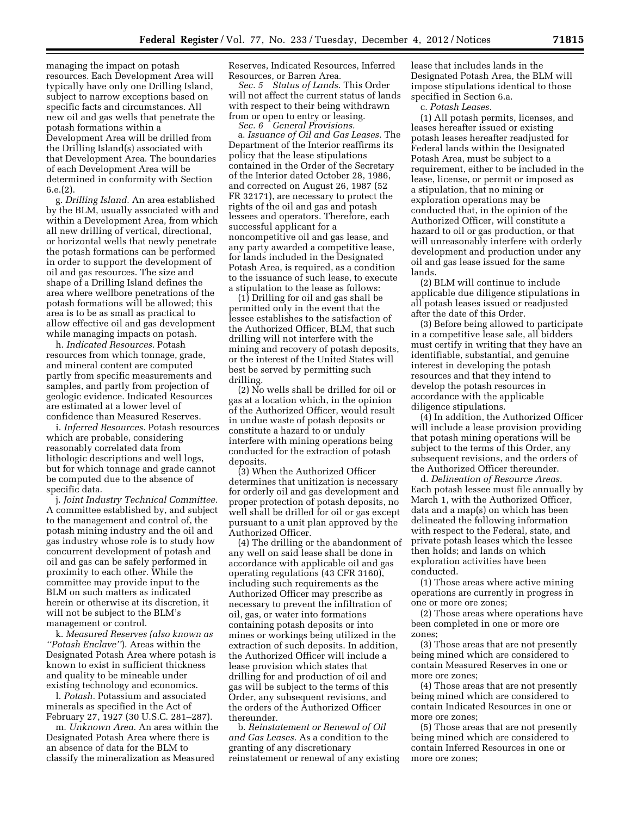managing the impact on potash resources. Each Development Area will typically have only one Drilling Island, subject to narrow exceptions based on specific facts and circumstances. All new oil and gas wells that penetrate the potash formations within a Development Area will be drilled from the Drilling Island(s) associated with that Development Area. The boundaries of each Development Area will be determined in conformity with Section 6.e.(2).

g. *Drilling Island.* An area established by the BLM, usually associated with and within a Development Area, from which all new drilling of vertical, directional, or horizontal wells that newly penetrate the potash formations can be performed in order to support the development of oil and gas resources. The size and shape of a Drilling Island defines the area where wellbore penetrations of the potash formations will be allowed; this area is to be as small as practical to allow effective oil and gas development while managing impacts on potash.

h. *Indicated Resources.* Potash resources from which tonnage, grade, and mineral content are computed partly from specific measurements and samples, and partly from projection of geologic evidence. Indicated Resources are estimated at a lower level of confidence than Measured Reserves.

i. *Inferred Resources.* Potash resources which are probable, considering reasonably correlated data from lithologic descriptions and well logs, but for which tonnage and grade cannot be computed due to the absence of specific data.

j. *Joint Industry Technical Committee.*  A committee established by, and subject to the management and control of, the potash mining industry and the oil and gas industry whose role is to study how concurrent development of potash and oil and gas can be safely performed in proximity to each other. While the committee may provide input to the BLM on such matters as indicated herein or otherwise at its discretion, it will not be subject to the BLM's management or control.

k. *Measured Reserves (also known as ''Potash Enclave''*). Areas within the Designated Potash Area where potash is known to exist in sufficient thickness and quality to be mineable under existing technology and economics.

l. *Potash.* Potassium and associated minerals as specified in the Act of February 27, 1927 (30 U.S.C. 281–287).

m. *Unknown Area.* An area within the Designated Potash Area where there is an absence of data for the BLM to classify the mineralization as Measured

Reserves, Indicated Resources, Inferred Resources, or Barren Area.

*Sec. 5 Status of Lands.* This Order will not affect the current status of lands with respect to their being withdrawn from or open to entry or leasing.

*Sec. 6 General Provisions.* 

a. *Issuance of Oil and Gas Leases.* The Department of the Interior reaffirms its policy that the lease stipulations contained in the Order of the Secretary of the Interior dated October 28, 1986, and corrected on August 26, 1987 (52 FR 32171), are necessary to protect the rights of the oil and gas and potash lessees and operators. Therefore, each successful applicant for a noncompetitive oil and gas lease, and any party awarded a competitive lease, for lands included in the Designated Potash Area, is required, as a condition to the issuance of such lease, to execute a stipulation to the lease as follows:

(1) Drilling for oil and gas shall be permitted only in the event that the lessee establishes to the satisfaction of the Authorized Officer, BLM, that such drilling will not interfere with the mining and recovery of potash deposits, or the interest of the United States will best be served by permitting such drilling.

(2) No wells shall be drilled for oil or gas at a location which, in the opinion of the Authorized Officer, would result in undue waste of potash deposits or constitute a hazard to or unduly interfere with mining operations being conducted for the extraction of potash deposits.

(3) When the Authorized Officer determines that unitization is necessary for orderly oil and gas development and proper protection of potash deposits, no well shall be drilled for oil or gas except pursuant to a unit plan approved by the Authorized Officer.

(4) The drilling or the abandonment of any well on said lease shall be done in accordance with applicable oil and gas operating regulations (43 CFR 3160), including such requirements as the Authorized Officer may prescribe as necessary to prevent the infiltration of oil, gas, or water into formations containing potash deposits or into mines or workings being utilized in the extraction of such deposits. In addition, the Authorized Officer will include a lease provision which states that drilling for and production of oil and gas will be subject to the terms of this Order, any subsequent revisions, and the orders of the Authorized Officer thereunder.

b. *Reinstatement or Renewal of Oil and Gas Leases.* As a condition to the granting of any discretionary reinstatement or renewal of any existing

lease that includes lands in the Designated Potash Area, the BLM will impose stipulations identical to those specified in Section 6.a.

c. *Potash Leases.* 

(1) All potash permits, licenses, and leases hereafter issued or existing potash leases hereafter readjusted for Federal lands within the Designated Potash Area, must be subject to a requirement, either to be included in the lease, license, or permit or imposed as a stipulation, that no mining or exploration operations may be conducted that, in the opinion of the Authorized Officer, will constitute a hazard to oil or gas production, or that will unreasonably interfere with orderly development and production under any oil and gas lease issued for the same lands.

(2) BLM will continue to include applicable due diligence stipulations in all potash leases issued or readjusted after the date of this Order.

(3) Before being allowed to participate in a competitive lease sale, all bidders must certify in writing that they have an identifiable, substantial, and genuine interest in developing the potash resources and that they intend to develop the potash resources in accordance with the applicable diligence stipulations.

(4) In addition, the Authorized Officer will include a lease provision providing that potash mining operations will be subject to the terms of this Order, any subsequent revisions, and the orders of the Authorized Officer thereunder.

d. *Delineation of Resource Areas.*  Each potash lessee must file annually by March 1, with the Authorized Officer, data and a map(s) on which has been delineated the following information with respect to the Federal, state, and private potash leases which the lessee then holds; and lands on which exploration activities have been conducted.

(1) Those areas where active mining operations are currently in progress in one or more ore zones;

(2) Those areas where operations have been completed in one or more ore zones;

(3) Those areas that are not presently being mined which are considered to contain Measured Reserves in one or more ore zones;

(4) Those areas that are not presently being mined which are considered to contain Indicated Resources in one or more ore zones;

(5) Those areas that are not presently being mined which are considered to contain Inferred Resources in one or more ore zones;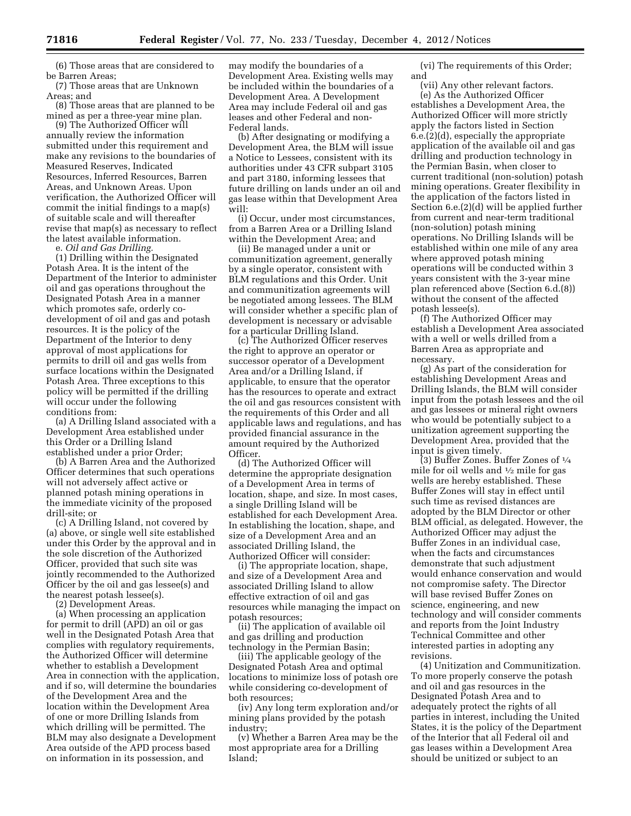(6) Those areas that are considered to be Barren Areas;

(7) Those areas that are Unknown Areas; and

(8) Those areas that are planned to be mined as per a three-year mine plan.

(9) The Authorized Officer will annually review the information submitted under this requirement and make any revisions to the boundaries of Measured Reserves, Indicated Resources, Inferred Resources, Barren Areas, and Unknown Areas. Upon verification, the Authorized Officer will commit the initial findings to a map(s) of suitable scale and will thereafter revise that map(s) as necessary to reflect the latest available information.

e. *Oil and Gas Drilling.* 

(1) Drilling within the Designated Potash Area. It is the intent of the Department of the Interior to administer oil and gas operations throughout the Designated Potash Area in a manner which promotes safe, orderly codevelopment of oil and gas and potash resources. It is the policy of the Department of the Interior to deny approval of most applications for permits to drill oil and gas wells from surface locations within the Designated Potash Area. Three exceptions to this policy will be permitted if the drilling will occur under the following conditions from:

(a) A Drilling Island associated with a Development Area established under this Order or a Drilling Island established under a prior Order;

(b) A Barren Area and the Authorized Officer determines that such operations will not adversely affect active or planned potash mining operations in the immediate vicinity of the proposed drill-site; or

(c) A Drilling Island, not covered by (a) above, or single well site established under this Order by the approval and in the sole discretion of the Authorized Officer, provided that such site was jointly recommended to the Authorized Officer by the oil and gas lessee(s) and the nearest potash lessee(s).

(2) Development Areas.

(a) When processing an application for permit to drill (APD) an oil or gas well in the Designated Potash Area that complies with regulatory requirements, the Authorized Officer will determine whether to establish a Development Area in connection with the application, and if so, will determine the boundaries of the Development Area and the location within the Development Area of one or more Drilling Islands from which drilling will be permitted. The BLM may also designate a Development Area outside of the APD process based on information in its possession, and

may modify the boundaries of a Development Area. Existing wells may be included within the boundaries of a Development Area. A Development Area may include Federal oil and gas leases and other Federal and non-Federal lands.

(b) After designating or modifying a Development Area, the BLM will issue a Notice to Lessees, consistent with its authorities under 43 CFR subpart 3105 and part 3180, informing lessees that future drilling on lands under an oil and gas lease within that Development Area will:

(i) Occur, under most circumstances, from a Barren Area or a Drilling Island within the Development Area; and

(ii) Be managed under a unit or communitization agreement, generally by a single operator, consistent with BLM regulations and this Order. Unit and communitization agreements will be negotiated among lessees. The BLM will consider whether a specific plan of development is necessary or advisable for a particular Drilling Island.

(c) The Authorized Officer reserves the right to approve an operator or successor operator of a Development Area and/or a Drilling Island, if applicable, to ensure that the operator has the resources to operate and extract the oil and gas resources consistent with the requirements of this Order and all applicable laws and regulations, and has provided financial assurance in the amount required by the Authorized Officer.

(d) The Authorized Officer will determine the appropriate designation of a Development Area in terms of location, shape, and size. In most cases, a single Drilling Island will be established for each Development Area. In establishing the location, shape, and size of a Development Area and an associated Drilling Island, the Authorized Officer will consider:

(i) The appropriate location, shape, and size of a Development Area and associated Drilling Island to allow effective extraction of oil and gas resources while managing the impact on potash resources;

(ii) The application of available oil and gas drilling and production technology in the Permian Basin;

(iii) The applicable geology of the Designated Potash Area and optimal locations to minimize loss of potash ore while considering co-development of both resources;

(iv) Any long term exploration and/or mining plans provided by the potash industry;

(v) Whether a Barren Area may be the most appropriate area for a Drilling Island;

(vi) The requirements of this Order; and

(vii) Any other relevant factors. (e) As the Authorized Officer establishes a Development Area, the Authorized Officer will more strictly apply the factors listed in Section 6.e.(2)(d), especially the appropriate application of the available oil and gas drilling and production technology in the Permian Basin, when closer to current traditional (non-solution) potash mining operations. Greater flexibility in the application of the factors listed in Section 6.e.(2)(d) will be applied further from current and near-term traditional (non-solution) potash mining operations. No Drilling Islands will be established within one mile of any area where approved potash mining operations will be conducted within 3 years consistent with the 3-year mine plan referenced above (Section 6.d.(8)) without the consent of the affected potash lessee(s).

(f) The Authorized Officer may establish a Development Area associated with a well or wells drilled from a Barren Area as appropriate and necessary.

(g) As part of the consideration for establishing Development Areas and Drilling Islands, the BLM will consider input from the potash lessees and the oil and gas lessees or mineral right owners who would be potentially subject to a unitization agreement supporting the Development Area, provided that the input is given timely.

(3) Buffer Zones. Buffer Zones of  $\frac{1}{4}$ mile for oil wells and  $\frac{1}{2}$  mile for gas wells are hereby established. These Buffer Zones will stay in effect until such time as revised distances are adopted by the BLM Director or other BLM official, as delegated. However, the Authorized Officer may adjust the Buffer Zones in an individual case, when the facts and circumstances demonstrate that such adjustment would enhance conservation and would not compromise safety. The Director will base revised Buffer Zones on science, engineering, and new technology and will consider comments and reports from the Joint Industry Technical Committee and other interested parties in adopting any revisions.

(4) Unitization and Communitization. To more properly conserve the potash and oil and gas resources in the Designated Potash Area and to adequately protect the rights of all parties in interest, including the United States, it is the policy of the Department of the Interior that all Federal oil and gas leases within a Development Area should be unitized or subject to an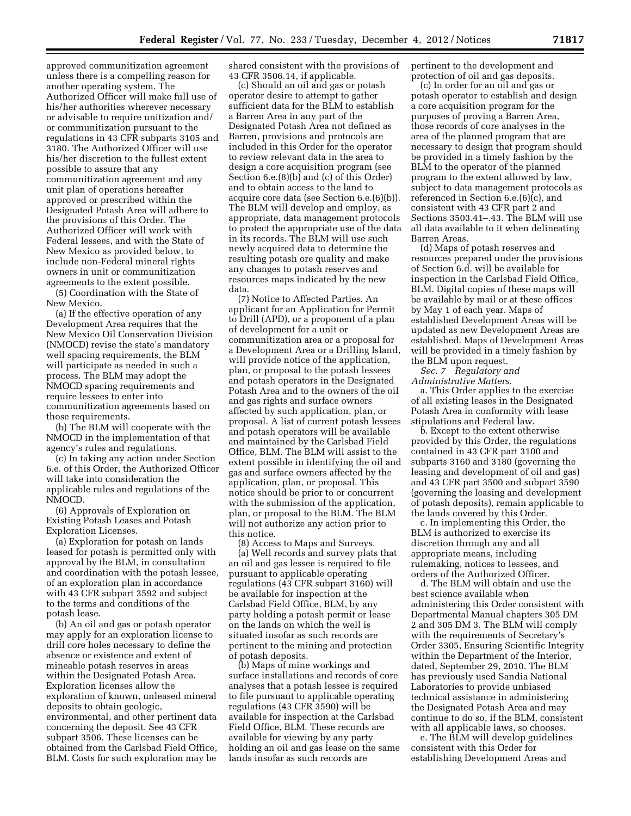approved communitization agreement unless there is a compelling reason for another operating system. The Authorized Officer will make full use of his/her authorities wherever necessary or advisable to require unitization and/ or communitization pursuant to the regulations in 43 CFR subparts 3105 and 3180. The Authorized Officer will use his/her discretion to the fullest extent possible to assure that any communitization agreement and any unit plan of operations hereafter approved or prescribed within the Designated Potash Area will adhere to the provisions of this Order. The Authorized Officer will work with Federal lessees, and with the State of New Mexico as provided below, to include non-Federal mineral rights owners in unit or communitization agreements to the extent possible.

(5) Coordination with the State of New Mexico.

(a) If the effective operation of any Development Area requires that the New Mexico Oil Conservation Division (NMOCD) revise the state's mandatory well spacing requirements, the BLM will participate as needed in such a process. The BLM may adopt the NMOCD spacing requirements and require lessees to enter into communitization agreements based on those requirements.

(b) The BLM will cooperate with the NMOCD in the implementation of that agency's rules and regulations.

(c) In taking any action under Section 6.e. of this Order, the Authorized Officer will take into consideration the applicable rules and regulations of the NMOCD.

(6) Approvals of Exploration on Existing Potash Leases and Potash Exploration Licenses.

(a) Exploration for potash on lands leased for potash is permitted only with approval by the BLM, in consultation and coordination with the potash lessee, of an exploration plan in accordance with 43 CFR subpart 3592 and subject to the terms and conditions of the potash lease.

(b) An oil and gas or potash operator may apply for an exploration license to drill core holes necessary to define the absence or existence and extent of mineable potash reserves in areas within the Designated Potash Area. Exploration licenses allow the exploration of known, unleased mineral deposits to obtain geologic, environmental, and other pertinent data concerning the deposit. See 43 CFR subpart 3506. These licenses can be obtained from the Carlsbad Field Office, BLM. Costs for such exploration may be

shared consistent with the provisions of 43 CFR 3506.14, if applicable.

(c) Should an oil and gas or potash operator desire to attempt to gather sufficient data for the BLM to establish a Barren Area in any part of the Designated Potash Area not defined as Barren, provisions and protocols are included in this Order for the operator to review relevant data in the area to design a core acquisition program (see Section 6.e.(8)(b) and (c) of this Order) and to obtain access to the land to acquire core data (see Section 6.e.(6)(b)). The BLM will develop and employ, as appropriate, data management protocols to protect the appropriate use of the data in its records. The BLM will use such newly acquired data to determine the resulting potash ore quality and make any changes to potash reserves and resources maps indicated by the new data.

(7) Notice to Affected Parties. An applicant for an Application for Permit to Drill (APD), or a proponent of a plan of development for a unit or communitization area or a proposal for a Development Area or a Drilling Island, will provide notice of the application, plan, or proposal to the potash lessees and potash operators in the Designated Potash Area and to the owners of the oil and gas rights and surface owners affected by such application, plan, or proposal. A list of current potash lessees and potash operators will be available and maintained by the Carlsbad Field Office, BLM. The BLM will assist to the extent possible in identifying the oil and gas and surface owners affected by the application, plan, or proposal. This notice should be prior to or concurrent with the submission of the application, plan, or proposal to the BLM. The BLM will not authorize any action prior to this notice.

(8) Access to Maps and Surveys. (a) Well records and survey plats that an oil and gas lessee is required to file pursuant to applicable operating regulations (43 CFR subpart 3160) will be available for inspection at the Carlsbad Field Office, BLM, by any party holding a potash permit or lease on the lands on which the well is situated insofar as such records are pertinent to the mining and protection of potash deposits.

(b) Maps of mine workings and surface installations and records of core analyses that a potash lessee is required to file pursuant to applicable operating regulations (43 CFR 3590) will be available for inspection at the Carlsbad Field Office, BLM. These records are available for viewing by any party holding an oil and gas lease on the same lands insofar as such records are

pertinent to the development and protection of oil and gas deposits.

(c) In order for an oil and gas or potash operator to establish and design a core acquisition program for the purposes of proving a Barren Area, those records of core analyses in the area of the planned program that are necessary to design that program should be provided in a timely fashion by the BLM to the operator of the planned program to the extent allowed by law, subject to data management protocols as referenced in Section 6.e.(6)(c), and consistent with 43 CFR part 2 and Sections 3503.41–.43. The BLM will use all data available to it when delineating Barren Areas.

(d) Maps of potash reserves and resources prepared under the provisions of Section 6.d. will be available for inspection in the Carlsbad Field Office, BLM. Digital copies of these maps will be available by mail or at these offices by May 1 of each year. Maps of established Development Areas will be updated as new Development Areas are established. Maps of Development Areas will be provided in a timely fashion by the BLM upon request.

*Sec. 7 Regulatory and Administrative Matters.* 

a. This Order applies to the exercise of all existing leases in the Designated Potash Area in conformity with lease stipulations and Federal law.

b. Except to the extent otherwise provided by this Order, the regulations contained in 43 CFR part 3100 and subparts 3160 and 3180 (governing the leasing and development of oil and gas) and 43 CFR part 3500 and subpart 3590 (governing the leasing and development of potash deposits), remain applicable to the lands covered by this Order.

c. In implementing this Order, the BLM is authorized to exercise its discretion through any and all appropriate means, including rulemaking, notices to lessees, and orders of the Authorized Officer.

d. The BLM will obtain and use the best science available when administering this Order consistent with Departmental Manual chapters 305 DM 2 and 305 DM 3. The BLM will comply with the requirements of Secretary's Order 3305, Ensuring Scientific Integrity within the Department of the Interior, dated, September 29, 2010. The BLM has previously used Sandia National Laboratories to provide unbiased technical assistance in administering the Designated Potash Area and may continue to do so, if the BLM, consistent with all applicable laws, so chooses.

e. The BLM will develop guidelines consistent with this Order for establishing Development Areas and